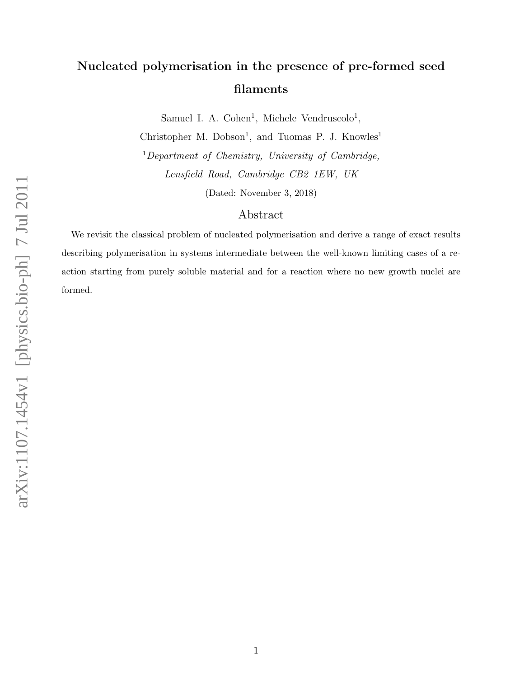# Nucleated polymerisation in the presence of pre-formed seed filaments

Samuel I. A. Cohen<sup>1</sup>, Michele Vendruscolo<sup>1</sup>,

Christopher M. Dobson<sup>1</sup>, and Tuomas P. J. Knowles<sup>1</sup> <sup>1</sup>Department of Chemistry, University of Cambridge, Lensfield Road, Cambridge CB2 1EW, UK

(Dated: November 3, 2018)

### Abstract

We revisit the classical problem of nucleated polymerisation and derive a range of exact results describing polymerisation in systems intermediate between the well-known limiting cases of a reaction starting from purely soluble material and for a reaction where no new growth nuclei are formed.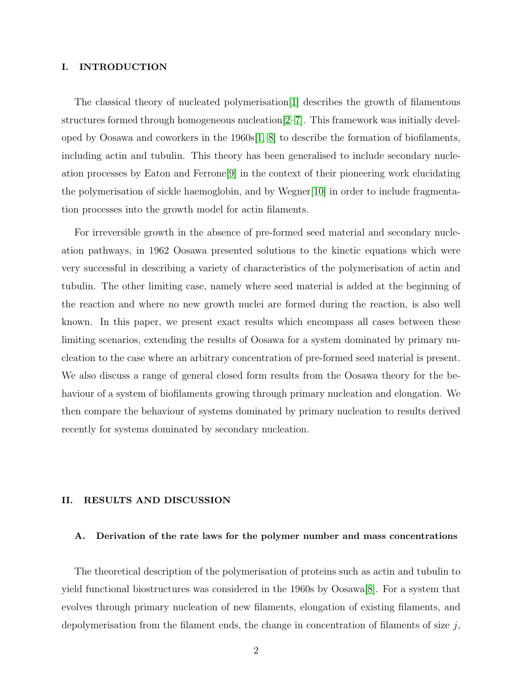#### I. INTRODUCTION

The classical theory of nucleated polymerisation[\[1\]](#page-7-0) describes the growth of filamentous structures formed through homogeneous nucleation[\[2](#page-7-1)[–7\]](#page-8-0). This framework was initially developed by Oosawa and coworkers in the  $1960s[1, 8]$  $1960s[1, 8]$  $1960s[1, 8]$  to describe the formation of biofilaments, including actin and tubulin. This theory has been generalised to include secondary nucleation processes by Eaton and Ferrone[\[9\]](#page-8-2) in the context of their pioneering work elucidating the polymerisation of sickle haemoglobin, and by Wegner[\[10\]](#page-8-3) in order to include fragmentation processes into the growth model for actin filaments.

For irreversible growth in the absence of pre-formed seed material and secondary nucleation pathways, in 1962 Oosawa presented solutions to the kinetic equations which were very successful in describing a variety of characteristics of the polymerisation of actin and tubulin. The other limiting case, namely where seed material is added at the beginning of the reaction and where no new growth nuclei are formed during the reaction, is also well known. In this paper, we present exact results which encompass all cases between these limiting scenarios, extending the results of Oosawa for a system dominated by primary nucleation to the case where an arbitrary concentration of pre-formed seed material is present. We also discuss a range of general closed form results from the Oosawa theory for the behaviour of a system of biofilaments growing through primary nucleation and elongation. We then compare the behaviour of systems dominated by primary nucleation to results derived recently for systems dominated by secondary nucleation.

#### II. RESULTS AND DISCUSSION

#### A. Derivation of the rate laws for the polymer number and mass concentrations

The theoretical description of the polymerisation of proteins such as actin and tubulin to yield functional biostructures was considered in the 1960s by Oosawa[\[8\]](#page-8-1). For a system that evolves through primary nucleation of new filaments, elongation of existing filaments, and depolymerisation from the filament ends, the change in concentration of filaments of size  $j$ ,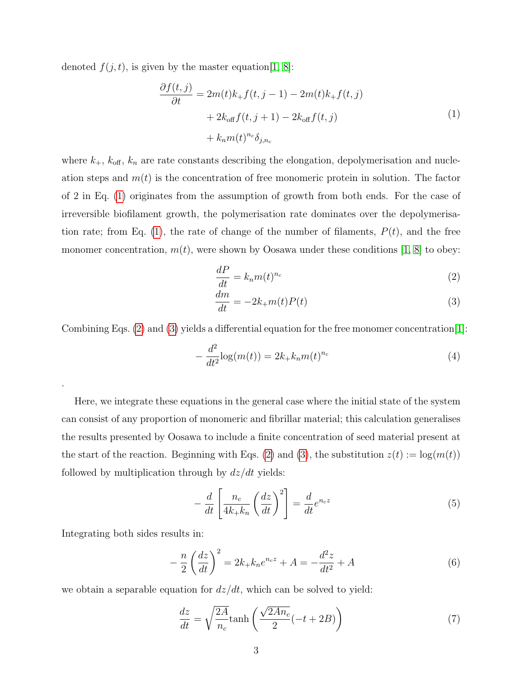<span id="page-2-0"></span>denoted  $f(j, t)$ , is given by the master equation [\[1,](#page-7-0) [8\]](#page-8-1):

$$
\frac{\partial f(t,j)}{\partial t} = 2m(t)k_+f(t,j-1) - 2m(t)k_+f(t,j)
$$

$$
+ 2k_{\text{off}}f(t,j+1) - 2k_{\text{off}}f(t,j)
$$

$$
+ k_n m(t)^{n_c} \delta_{j,n_c}
$$
\n(1)

where  $k_{+}$ ,  $k_{\text{off}}$ ,  $k_{n}$  are rate constants describing the elongation, depolymerisation and nucleation steps and  $m(t)$  is the concentration of free monomeric protein in solution. The factor of 2 in Eq. [\(1\)](#page-2-0) originates from the assumption of growth from both ends. For the case of irreversible biofilament growth, the polymerisation rate dominates over the depolymerisa-tion rate; from Eq. [\(1\)](#page-2-0), the rate of change of the number of filaments,  $P(t)$ , and the free monomer concentration,  $m(t)$ , were shown by Oosawa under these conditions [\[1,](#page-7-0) [8\]](#page-8-1) to obey:

<span id="page-2-1"></span>
$$
\frac{dP}{dt} = k_n m(t)^{n_c} \tag{2}
$$

<span id="page-2-2"></span>
$$
\frac{dm}{dt} = -2k_{+}m(t)P(t)
$$
\n(3)

Combining Eqs. [\(2\)](#page-2-1) and [\(3\)](#page-2-2) yields a differential equation for the free monomer concentration[\[1\]](#page-7-0):

$$
-\frac{d^2}{dt^2}\log(m(t)) = 2k_+k_n m(t)^{n_c}
$$
\n(4)

Here, we integrate these equations in the general case where the initial state of the system can consist of any proportion of monomeric and fibrillar material; this calculation generalises the results presented by Oosawa to include a finite concentration of seed material present at the start of the reaction. Beginning with Eqs. [\(2\)](#page-2-1) and [\(3\)](#page-2-2), the substitution  $z(t) := \log(m(t))$ followed by multiplication through by  $dz/dt$  yields:

$$
-\frac{d}{dt}\left[\frac{n_c}{4k_+k_n}\left(\frac{dz}{dt}\right)^2\right] = \frac{d}{dt}e^{n_c z}
$$
\n(5)

Integrating both sides results in:

.

$$
-\frac{n}{2}\left(\frac{dz}{dt}\right)^2 = 2k_+k_n e^{n_c z} + A = -\frac{d^2 z}{dt^2} + A
$$
\n(6)

we obtain a separable equation for  $dz/dt$ , which can be solved to yield:

$$
\frac{dz}{dt} = \sqrt{\frac{2A}{n_c}} \tanh\left(\frac{\sqrt{2An_c}}{2}(-t+2B)\right) \tag{7}
$$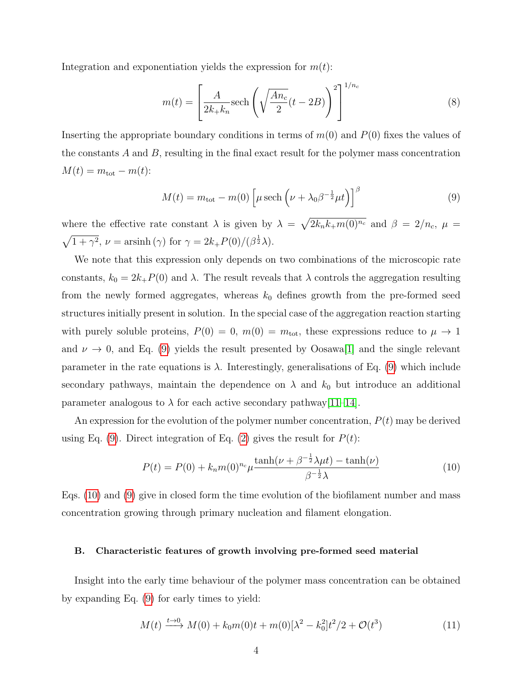Integration and exponentiation yields the expression for  $m(t)$ :

$$
m(t) = \left[\frac{A}{2k_+k_n}\text{sech}\left(\sqrt{\frac{An_c}{2}}(t-2B)\right)^2\right]^{1/n_c}
$$
\n(8)

Inserting the appropriate boundary conditions in terms of  $m(0)$  and  $P(0)$  fixes the values of the constants  $A$  and  $B$ , resulting in the final exact result for the polymer mass concentration  $M(t) = m_{\text{tot}} - m(t)$ :

<span id="page-3-0"></span>
$$
M(t) = m_{\text{tot}} - m(0) \left[ \mu \operatorname{sech} \left( \nu + \lambda_0 \beta^{-\frac{1}{2}} \mu t \right) \right]^{\beta} \tag{9}
$$

where the effective rate constant  $\lambda$  is given by  $\lambda = \sqrt{2k_nk+m(0)^{n_c}}$  and  $\beta = 2/n_c$ ,  $\mu =$  $\sqrt{1+\gamma^2}$ ,  $\nu = \operatorname{arsinh}(\gamma)$  for  $\gamma = 2k_+P(0)/(\beta^{\frac{1}{2}}\lambda)$ .

We note that this expression only depends on two combinations of the microscopic rate constants,  $k_0 = 2k_+P(0)$  and  $\lambda$ . The result reveals that  $\lambda$  controls the aggregation resulting from the newly formed aggregates, whereas  $k_0$  defines growth from the pre-formed seed structures initially present in solution. In the special case of the aggregation reaction starting with purely soluble proteins,  $P(0) = 0$ ,  $m(0) = m_{\text{tot}}$ , these expressions reduce to  $\mu \to 1$ and  $\nu \rightarrow 0$ , and Eq. [\(9\)](#page-3-0) yields the result presented by Oosawa<sup>[\[1\]](#page-7-0)</sup> and the single relevant parameter in the rate equations is  $\lambda$ . Interestingly, generalisations of Eq. [\(9\)](#page-3-0) which include secondary pathways, maintain the dependence on  $\lambda$  and  $k_0$  but introduce an additional parameter analogous to  $\lambda$  for each active secondary pathway [\[11](#page-8-4)[–14\]](#page-8-5).

An expression for the evolution of the polymer number concentration,  $P(t)$  may be derived using Eq. [\(9\)](#page-3-0). Direct integration of Eq. [\(2\)](#page-2-1) gives the result for  $P(t)$ :

<span id="page-3-1"></span>
$$
P(t) = P(0) + k_n m(0)^{n_c} \mu \frac{\tanh(\nu + \beta^{-\frac{1}{2}} \lambda \mu t) - \tanh(\nu)}{\beta^{-\frac{1}{2}} \lambda}
$$
(10)

Eqs. [\(10\)](#page-3-1) and [\(9\)](#page-3-0) give in closed form the time evolution of the biofilament number and mass concentration growing through primary nucleation and filament elongation.

#### B. Characteristic features of growth involving pre-formed seed material

Insight into the early time behaviour of the polymer mass concentration can be obtained by expanding Eq. [\(9\)](#page-3-0) for early times to yield:

$$
M(t) \xrightarrow{t \to 0} M(0) + k_0 m(0)t + m(0)[\lambda^2 - k_0^2]t^2/2 + \mathcal{O}(t^3)
$$
\n(11)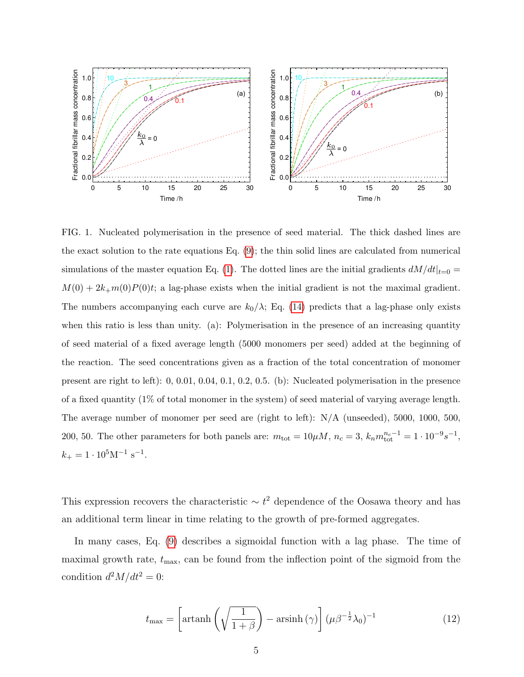

FIG. 1. Nucleated polymerisation in the presence of seed material. The thick dashed lines are the exact solution to the rate equations Eq. [\(9\)](#page-3-0); the thin solid lines are calculated from numerical simulations of the master equation Eq. [\(1\)](#page-2-0). The dotted lines are the initial gradients  $dM/dt|_{t=0}$  $M(0) + 2k_{+}m(0)P(0)t$ ; a lag-phase exists when the initial gradient is not the maximal gradient. The numbers accompanying each curve are  $k_0/\lambda$ ; Eq. [\(14\)](#page-5-0) predicts that a lag-phase only exists when this ratio is less than unity. (a): Polymerisation in the presence of an increasing quantity of seed material of a fixed average length (5000 monomers per seed) added at the beginning of the reaction. The seed concentrations given as a fraction of the total concentration of monomer present are right to left): 0, 0.01, 0.04, 0.1, 0.2, 0.5. (b): Nucleated polymerisation in the presence of a fixed quantity (1% of total monomer in the system) of seed material of varying average length. The average number of monomer per seed are (right to left): N/A (unseeded), 5000, 1000, 500, 200, 50. The other parameters for both panels are:  $m_{\text{tot}} = 10 \mu M$ ,  $n_c = 3$ ,  $k_n m_{\text{tot}}^{n_c-1} = 1 \cdot 10^{-9} s^{-1}$ ,  $k_+ = 1 \cdot 10^5 \text{M}^{-1} \text{ s}^{-1}.$ 

This expression recovers the characteristic  $\sim t^2$  dependence of the Oosawa theory and has an additional term linear in time relating to the growth of pre-formed aggregates.

In many cases, Eq. [\(9\)](#page-3-0) describes a sigmoidal function with a lag phase. The time of maximal growth rate,  $t_{\text{max}}$ , can be found from the inflection point of the sigmoid from the condition  $d^2M/dt^2 = 0$ :

$$
t_{\max} = \left[ \operatorname{artanh}\left(\sqrt{\frac{1}{1+\beta}}\right) - \operatorname{arsinh}\left(\gamma\right) \right] (\mu \beta^{-\frac{1}{2}} \lambda_0)^{-1} \tag{12}
$$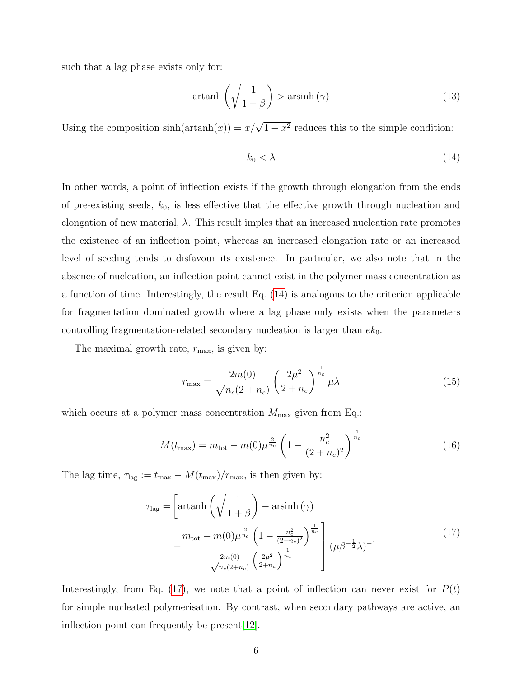such that a lag phase exists only for:

$$
\operatorname{artanh}\left(\sqrt{\frac{1}{1+\beta}}\right) > \operatorname{arsinh}\left(\gamma\right) \tag{13}
$$

Using the composition  $sinh(artanh(x)) = x/\sqrt{1-x^2}$  reduces this to the simple condition:

<span id="page-5-0"></span>
$$
k_0 < \lambda \tag{14}
$$

In other words, a point of inflection exists if the growth through elongation from the ends of pre-existing seeds,  $k_0$ , is less effective that the effective growth through nucleation and elongation of new material,  $\lambda$ . This result imples that an increased nucleation rate promotes the existence of an inflection point, whereas an increased elongation rate or an increased level of seeding tends to disfavour its existence. In particular, we also note that in the absence of nucleation, an inflection point cannot exist in the polymer mass concentration as a function of time. Interestingly, the result Eq. [\(14\)](#page-5-0) is analogous to the criterion applicable for fragmentation dominated growth where a lag phase only exists when the parameters controlling fragmentation-related secondary nucleation is larger than  $ek_0$ .

The maximal growth rate,  $r_{\text{max}}$ , is given by:

<span id="page-5-2"></span>
$$
r_{\max} = \frac{2m(0)}{\sqrt{n_c(2+n_c)}} \left(\frac{2\mu^2}{2+n_c}\right)^{\frac{1}{n_c}} \mu \lambda
$$
 (15)

which occurs at a polymer mass concentration  $M_{\text{max}}$  given from Eq.:

$$
M(t_{\text{max}}) = m_{\text{tot}} - m(0)\mu^{\frac{2}{n_c}} \left(1 - \frac{n_c^2}{(2 + n_c)^2}\right)^{\frac{1}{n_c}}
$$
(16)

<span id="page-5-1"></span>The lag time,  $\tau_{\text{lag}} := t_{\text{max}} - M(t_{\text{max}})/r_{\text{max}}$ , is then given by:

$$
\tau_{\text{lag}} = \left[ \text{artanh}\left(\sqrt{\frac{1}{1+\beta}}\right) - \text{arsinh}\left(\gamma\right) \right] \n- \frac{m_{\text{tot}} - m(0)\mu^{\frac{2}{n_c}}\left(1 - \frac{n_c^2}{(2+n_c)^2}\right)^{\frac{1}{n_c}}}{\frac{2m(0)}{\sqrt{n_c(2+n_c)}}\left(\frac{2\mu^2}{2+n_c}\right)^{\frac{1}{n_c}}}\right] (\mu \beta^{-\frac{1}{2}} \lambda)^{-1}
$$
\n(17)

Interestingly, from Eq. [\(17\)](#page-5-1), we note that a point of inflection can never exist for  $P(t)$ for simple nucleated polymerisation. By contrast, when secondary pathways are active, an inflection point can frequently be present[\[12\]](#page-8-6).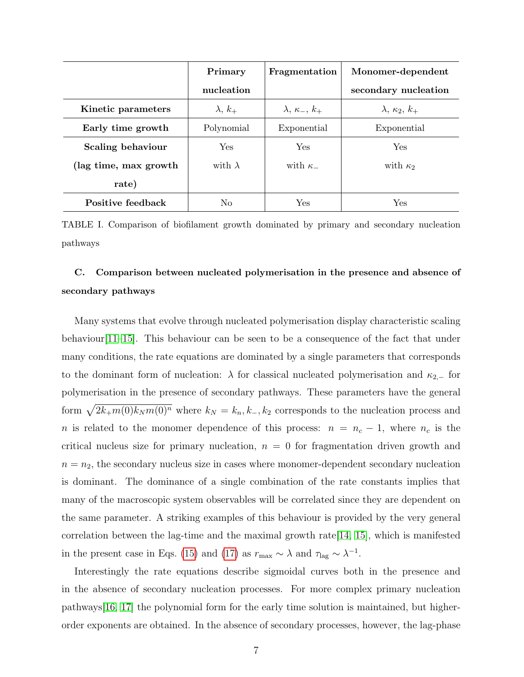|                          | Primary        | Fragmentation            | Monomer-dependent        |
|--------------------------|----------------|--------------------------|--------------------------|
|                          | nucleation     |                          | secondary nucleation     |
| Kinetic parameters       | $\lambda, k_+$ | $\lambda, \kappa_-, k_+$ | $\lambda, \kappa_2, k_+$ |
| Early time growth        | Polynomial     | Exponential              | Exponential              |
| <b>Scaling behaviour</b> | Yes            | <b>Yes</b>               | Yes                      |
| (lag time, max growth)   | with $\lambda$ | with $\kappa$            | with $\kappa_2$          |
| rate)                    |                |                          |                          |
| Positive feedback        | Nο             | Yes                      | Yes                      |

TABLE I. Comparison of biofilament growth dominated by primary and secondary nucleation pathways

## C. Comparison between nucleated polymerisation in the presence and absence of secondary pathways

Many systems that evolve through nucleated polymerisation display characteristic scaling behaviour  $[11-15]$  $[11-15]$ . This behaviour can be seen to be a consequence of the fact that under many conditions, the rate equations are dominated by a single parameters that corresponds to the dominant form of nucleation:  $\lambda$  for classical nucleated polymerisation and  $\kappa_{2,-}$  for polymerisation in the presence of secondary pathways. These parameters have the general form  $\sqrt{2k+m(0)k_Nm(0)^n}$  where  $k_N = k_n, k_-, k_2$  corresponds to the nucleation process and n is related to the monomer dependence of this process:  $n = n_c - 1$ , where  $n_c$  is the critical nucleus size for primary nucleation,  $n = 0$  for fragmentation driven growth and  $n = n<sub>2</sub>$ , the secondary nucleus size in cases where monomer-dependent secondary nucleation is dominant. The dominance of a single combination of the rate constants implies that many of the macroscopic system observables will be correlated since they are dependent on the same parameter. A striking examples of this behaviour is provided by the very general correlation between the lag-time and the maximal growth rate[\[14,](#page-8-5) [15\]](#page-8-7), which is manifested in the present case in Eqs. [\(15\)](#page-5-2) and [\(17\)](#page-5-1) as  $r_{\text{max}} \sim \lambda$  and  $\tau_{\text{lag}} \sim \lambda^{-1}$ .

Interestingly the rate equations describe sigmoidal curves both in the presence and in the absence of secondary nucleation processes. For more complex primary nucleation pathways[\[16,](#page-8-8) [17\]](#page-8-9) the polynomial form for the early time solution is maintained, but higherorder exponents are obtained. In the absence of secondary processes, however, the lag-phase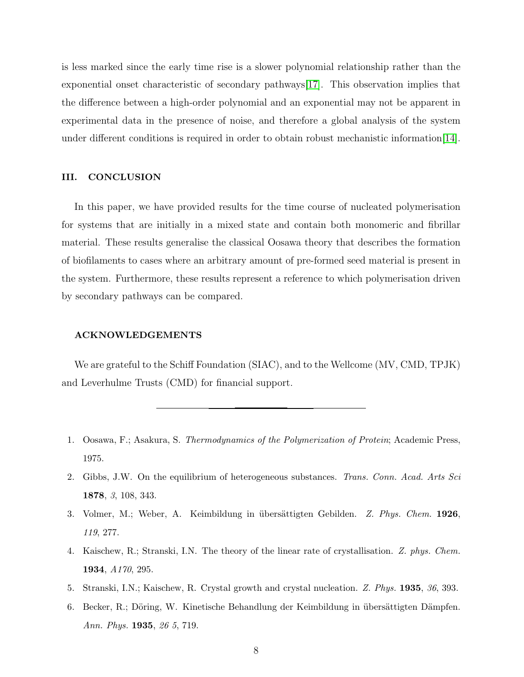is less marked since the early time rise is a slower polynomial relationship rather than the exponential onset characteristic of secondary pathways[\[17\]](#page-8-9). This observation implies that the difference between a high-order polynomial and an exponential may not be apparent in experimental data in the presence of noise, and therefore a global analysis of the system under different conditions is required in order to obtain robust mechanistic information[\[14\]](#page-8-5).

#### III. CONCLUSION

In this paper, we have provided results for the time course of nucleated polymerisation for systems that are initially in a mixed state and contain both monomeric and fibrillar material. These results generalise the classical Oosawa theory that describes the formation of biofilaments to cases where an arbitrary amount of pre-formed seed material is present in the system. Furthermore, these results represent a reference to which polymerisation driven by secondary pathways can be compared.

#### ACKNOWLEDGEMENTS

We are grateful to the Schiff Foundation (SIAC), and to the Wellcome (MV, CMD, TPJK) and Leverhulme Trusts (CMD) for financial support.

- <span id="page-7-0"></span>1. Oosawa, F.; Asakura, S. Thermodynamics of the Polymerization of Protein; Academic Press, 1975.
- <span id="page-7-1"></span>2. Gibbs, J.W. On the equilibrium of heterogeneous substances. Trans. Conn. Acad. Arts Sci 1878, 3, 108, 343.
- 3. Volmer, M.; Weber, A. Keimbildung in übersättigten Gebilden. Z. Phys. Chem. 1926, 119, 277.
- 4. Kaischew, R.; Stranski, I.N. The theory of the linear rate of crystallisation. Z. phys. Chem. 1934, A170, 295.
- 5. Stranski, I.N.; Kaischew, R. Crystal growth and crystal nucleation. Z. Phys. 1935, 36, 393.
- 6. Becker, R.; Döring, W. Kinetische Behandlung der Keimbildung in übersättigten Dämpfen. Ann. Phys. 1935, 26 5, 719.